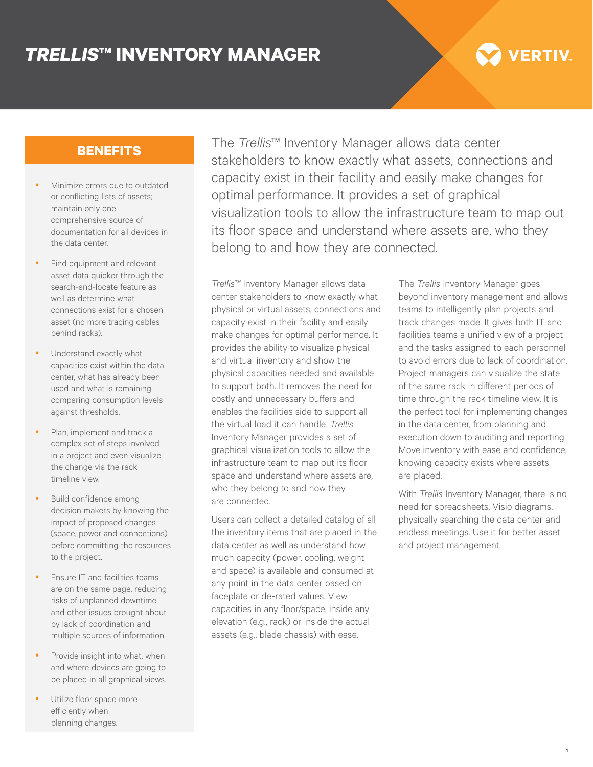## *TRELLIS***™ INVENTORY MANAGER**

# **VERTIV**

## **BENEFITS**

- Minimize errors due to outdated or conflicting lists of assets; maintain only one comprehensive source of documentation for all devices in the data center.
- Find equipment and relevant asset data quicker through the search-and-locate feature as well as determine what connections exist for a chosen asset (no more tracing cables behind racks).
- Understand exactly what capacities exist within the data center, what has already been used and what is remaining, comparing consumption levels against thresholds.
- Plan, implement and track a complex set of steps involved in a project and even visualize the change via the rack timeline view.
- Build confidence among decision makers by knowing the impact of proposed changes (space, power and connections) before committing the resources to the project.
- Ensure IT and facilities teams are on the same page, reducing risks of unplanned downtime and other issues brought about by lack of coordination and multiple sources of information.
- Provide insight into what, when and where devices are going to be placed in all graphical views.
- Utilize floor space more efficiently when planning changes.

The *Trellis*™ Inventory Manager allows data center stakeholders to know exactly what assets, connections and capacity exist in their facility and easily make changes for optimal performance. It provides a set of graphical visualization tools to allow the infrastructure team to map out its floor space and understand where assets are, who they belong to and how they are connected.

*Trellis™* Inventory Manager allows data center stakeholders to know exactly what physical or virtual assets, connections and capacity exist in their facility and easily make changes for optimal performance. It provides the ability to visualize physical and virtual inventory and show the physical capacities needed and available to support both. It removes the need for costly and unnecessary buffers and enables the facilities side to support all the virtual load it can handle. *Trellis* Inventory Manager provides a set of graphical visualization tools to allow the infrastructure team to map out its floor space and understand where assets are, who they belong to and how they are connected.

Users can collect a detailed catalog of all the inventory items that are placed in the data center as well as understand how much capacity (power, cooling, weight and space) is available and consumed at any point in the data center based on faceplate or de-rated values. View capacities in any floor/space, inside any elevation (e.g., rack) or inside the actual assets (e.g., blade chassis) with ease.

The *Trellis* Inventory Manager goes beyond inventory management and allows teams to intelligently plan projects and track changes made. It gives both IT and facilities teams a unified view of a project and the tasks assigned to each personnel to avoid errors due to lack of coordination. Project managers can visualize the state of the same rack in different periods of time through the rack timeline view. It is the perfect tool for implementing changes in the data center, from planning and execution down to auditing and reporting. Move inventory with ease and confidence, knowing capacity exists where assets are placed.

With *Trellis* Inventory Manager, there is no need for spreadsheets, Visio diagrams, physically searching the data center and endless meetings. Use it for better asset and project management.

1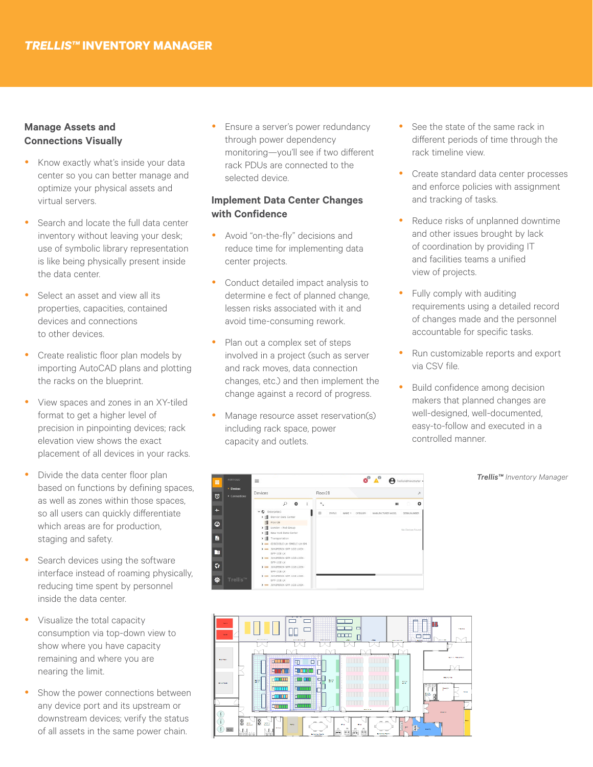#### **Manage Assets and Connections Visually**

- Know exactly what's inside your data center so you can better manage and optimize your physical assets and virtual servers.
- Search and locate the full data center inventory without leaving your desk; use of symbolic library representation is like being physically present inside the data center.
- Select an asset and view all its properties, capacities, contained devices and connections to other devices.
- y Create realistic floor plan models by importing AutoCAD plans and plotting the racks on the blueprint.
- View spaces and zones in an XY-tiled format to get a higher level of precision in pinpointing devices; rack elevation view shows the exact placement of all devices in your racks.
- Divide the data center floor plan based on functions by defining spaces, as well as zones within those spaces, so all users can quickly differentiate which areas are for production, staging and safety.
- Search devices using the software interface instead of roaming physically, reducing time spent by personnel inside the data center.
- Visualize the total capacity consumption via top-down view to show where you have capacity remaining and where you are nearing the limit.
- Show the power connections between any device port and its upstream or downstream devices; verify the status of all assets in the same power chain.

Ensure a server's power redundancy through power dependency monitoring—you'll see if two different rack PDUs are connected to the selected device.

#### **Implement Data Center Changes with Confidence**

- Avoid "on-the-fly" decisions and reduce time for implementing data center projects.
- Conduct detailed impact analysis to determine e fect of planned change. lessen risks associated with it and avoid time-consuming rework.
- Plan out a complex set of steps involved in a project (such as server and rack moves, data connection changes, etc.) and then implement the change against a record of progress.
- Manage resource asset reservation(s) including rack space, power capacity and outlets.
- See the state of the same rack in different periods of time through the rack timeline view.
- Create standard data center processes and enforce policies with assignment and tracking of tasks.
- Reduce risks of unplanned downtime and other issues brought by lack of coordination by providing IT and facilities teams a unified view of projects.
- Fully comply with auditing requirements using a detailed record of changes made and the personnel accountable for specific tasks.
- Run customizable reports and export via CSV file.
- Build confidence among decision makers that planned changes are well-designed, well-documented, easy-to-follow and executed in a controlled manner.

#### *Trellis™ Inventory Manager*



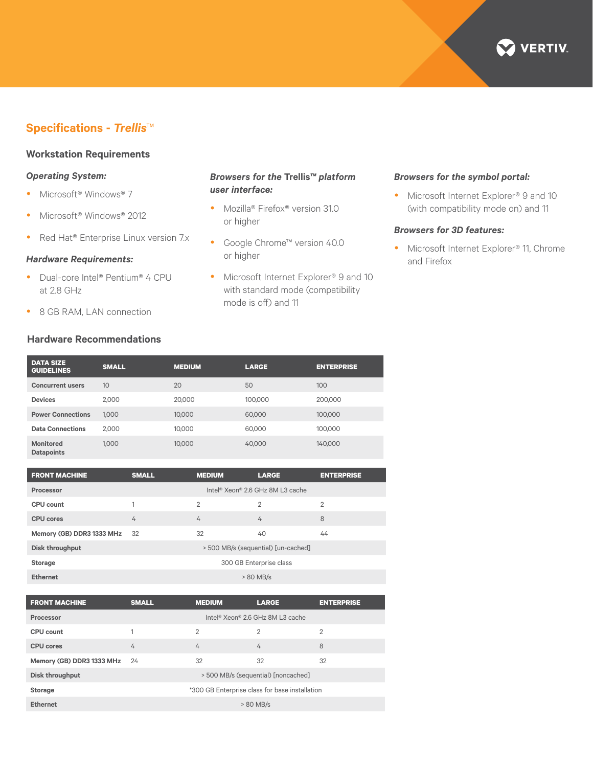

### **Specifications -** *Trellis*™

#### **Workstation Requirements**

#### *Operating System:*

- Microsoft<sup>®</sup> Windows® 7
- Microsoft<sup>®</sup> Windows® 2012
- Red Hat® Enterprise Linux version 7.x

#### *Hardware Requirements:*

- Dual-core Intel® Pentium® 4 CPU at 2.8 GHz
- 8 GB RAM, LAN connection

#### **Hardware Recommendations**

#### *Browsers for the* **Trellis***™ platform user interface:*

- Mozilla® Firefox® version 31.0 or higher
- Google Chrome™ version 40.0 or higher
- Microsoft Internet Explorer® 9 and 10 with standard mode (compatibility mode is off) and 11

#### *Browsers for the symbol portal:*

• Microsoft Internet Explorer® 9 and 10 (with compatibility mode on) and 11

#### *Browsers for 3D features:*

• Microsoft Internet Explorer® 11, Chrome and Firefox

| <b>SMALL</b> | <b>LARGE</b>                                                | <b>ENTERPRISE</b> |
|--------------|-------------------------------------------------------------|-------------------|
|              | 50                                                          | 100               |
| 2,000        | 100,000                                                     | 200,000           |
| 1.000        | 60,000                                                      | 100,000           |
| 2.000        | 60,000                                                      | 100.000           |
| 1.000        | 40,000                                                      | 140,000           |
|              | <b>MEDIUM</b><br>20<br>20,000<br>10,000<br>10.000<br>10,000 |                   |

| <b>FRONT MACHINE</b>      | <b>SMALL</b>                                 | <b>MEDIUM</b>  | <b>LARGE</b>   | <b>ENTERPRISE</b> |
|---------------------------|----------------------------------------------|----------------|----------------|-------------------|
| Processor                 | Intel <sup>®</sup> Xeon® 2.6 GHz 8M L3 cache |                |                |                   |
| CPU count                 | 1                                            | $\overline{2}$ | $\overline{2}$ | $\overline{2}$    |
| <b>CPU</b> cores          | 4                                            | 4              | 4              | 8                 |
| Memory (GB) DDR3 1333 MHz | -32                                          | 32             | 40             | 44                |
| Disk throughput           | > 500 MB/s (sequential) [un-cached]          |                |                |                   |
| <b>Storage</b>            | 300 GB Enterprise class                      |                |                |                   |
| <b>Ethernet</b>           | > 80 MB/s                                    |                |                |                   |

| <b>FRONT MACHINE</b>      | <b>SMALL</b>                                   | <b>MEDIUM</b> | <b>LARGE</b>   | <b>ENTERPRISE</b> |
|---------------------------|------------------------------------------------|---------------|----------------|-------------------|
| Processor                 | Intel® Xeon® 2.6 GHz 8M L3 cache               |               |                |                   |
| CPU count                 | 1                                              | 2             | $\overline{2}$ | $\overline{2}$    |
| <b>CPU</b> cores          | 4                                              | 4             | 4              | 8                 |
| Memory (GB) DDR3 1333 MHz | -24                                            | 32            | 32             | 32                |
| Disk throughput           | > 500 MB/s (sequential) [noncached]            |               |                |                   |
| <b>Storage</b>            | *300 GB Enterprise class for base installation |               |                |                   |
| <b>Ethernet</b>           | > 80 MB/s                                      |               |                |                   |